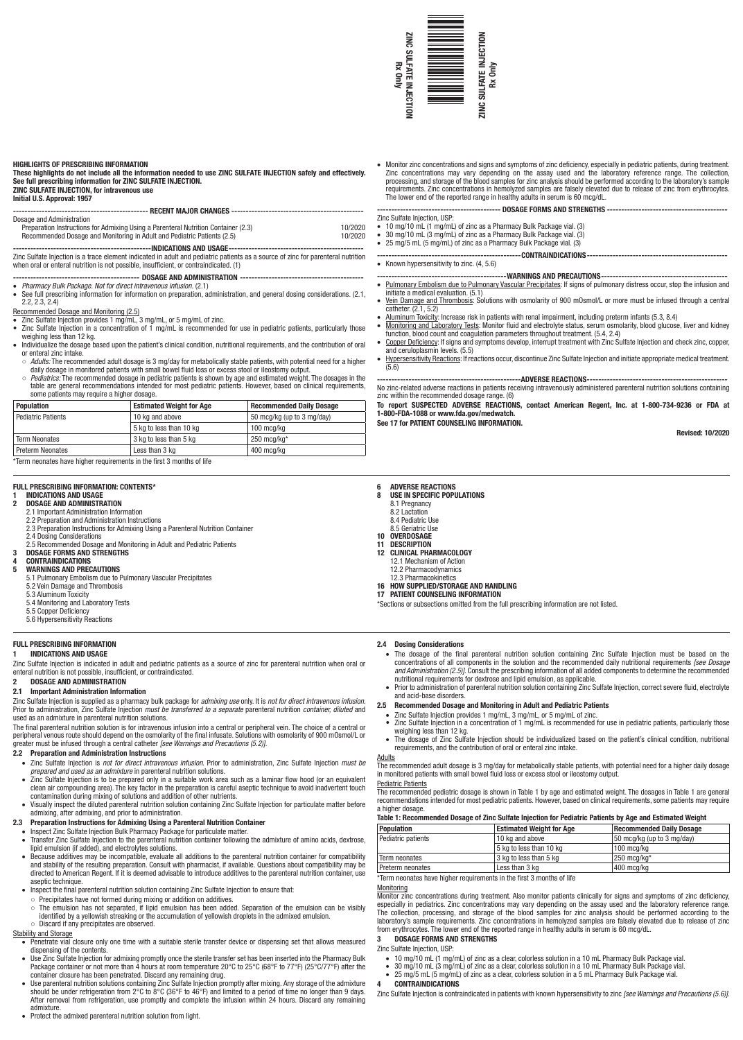

#### HIGHLIGHTS OF PRESCRIBING INFORMATION

## These highlights do not include all the information needed to use ZINC SULFATE INJECTION safely and effectively. See full prescribing information for ZINC SULFATE INJECTION.

ZINC SULFATE INJECTION, for intravenous use

## Initial U.S. Approval: 1957 ----------------------------------------------- RECENT MAJOR CHANGES ----------------------------------------------

#### Dosage and Administration

| Recommended Dosage and Monitoring in Adult and Pediatric Patients (2.5)            | 10/2020 |  |  |
|------------------------------------------------------------------------------------|---------|--|--|
| Preparation Instructions for Admixing Using a Parenteral Nutrition Container (2.3) | 10/2020 |  |  |
| <b>DUSAYE AND AUTHING AUVIL</b>                                                    |         |  |  |

- ------------------------------------------------INDICATIONS AND USAGE----------------------------------------------- Zinc Sulfate Injection is a trace element indicated in adult and pediatric patients as a source of zinc for parenteral nutrition when oral or enteral nutrition is not possible, insufficient, or contraindicated. (1)
- --- DOSAGE AND ADMINISTRATION -
- • *Pharmacy Bulk Package. Not for direct intravenous infusion.* (2.1) • See full prescribing information for information on preparation, administration, and general dosing considerations. (2.1,
- 2.2, 2.3, 2.4)

Recommended Dosage and Monitoring (2.5)

- Zinc Sulfate Injection provides 1 mg/mL, 3 mg/mL, or 5 mg/mL of zinc.
- Zinc Sulfate Injection in a concentration of 1 mg/mL is recommended for use in pediatric patients, particularly those weighing less than 12 kg. • Individualize the dosage based upon the patient's clinical condition, nutritional requirements, and the contribution of oral
- or enteral zinc intake.
- *Adults:* The recommended adult dosage is 3 mg/day for metabolically stable patients, with potential need for a higher daily dosage in monitored patients with small bowel fluid loss or excess stool or ileostomy output. ○ *Pediatrics:* The recommended dosage in pediatric patients is shown by age and estimated weight. The dosages in the
- table are general recommendations intended for most pediatric patients. However, based on clinical requirements, some patients may require a higher dosage.

| <b>SUTTO DUNCITION IN A LOGAL CONTRACT AND DUNCI</b> |                                 |                                 |
|------------------------------------------------------|---------------------------------|---------------------------------|
| <b>Population</b>                                    | <b>Estimated Weight for Age</b> | <b>Recommended Daily Dosage</b> |
| <b>Pediatric Patients</b>                            | 10 kg and above                 | 50 mcg/kg (up to 3 mg/day)      |
|                                                      | 5 kg to less than 10 kg         | 100 mcg/kg                      |
| <b>Term Neonates</b>                                 | 3 kg to less than 5 kg          | $250 \text{ mca/kg}^*$          |
| <b>Preterm Neonates</b>                              | Less than 3 kg                  | 400 mcg/kg                      |

\*Term neonates have higher requirements in the first 3 months of life

## FULL PRESCRIBING INFORMATION: CONTENTS\*

# 1 INDICATIONS AND USAGE<br>2 DOSAGE AND ADMINISTR

- 2 DOSAGE AND ADMINISTRATION
- 2.1 Important Administration Information
- 2.2 Preparation and Administration Instructions 2.3 Preparation Instructions for Admixing Using a Parenteral Nutrition Container
- 2.4 Dosing Considerations
- 2.5 Recommended Dosage and Monitoring in Adult and Pediatric Patients
- 3 DOSAGE FORMS AND STRENGTHS
	- **CONTRAINDICATIONS**
- 5 WARNINGS AND PRECAUTIONS 5.1 Pulmonary Embolism due to Pulmonary Vascular Precipitates
	- 5.2 Vein Damage and Thrombosis
	- 5.3 Aluminum Toxicity
	- 5.4 Monitoring and Laboratory Tests
	- 5.5 Copper Deficiency
	- 5.6 Hypersensitivity Reactions

## FULL PRESCRIBING INFORMATION 1 INDICATIONS AND USAGE

Zinc Sulfate Injection is indicated in adult and pediatric patients as a source of zinc for parenteral nutrition when oral or enteral nutrition is not possible, insufficient, or contraindicated.

## 2 DOSAGE AND ADMINISTRATION

2.1 Important Administration Information

Zinc Sulfate Injection is supplied as a pharmacy bulk package for *admixing use* only. It is *not for direct intravenous infusion*. Prior to administration, Zinc Sulfate Injection *must be transferred to a separate* parenteral nutrition *container, diluted* and used as an admixture in parenteral nutrition solutions.

The final parenteral nutrition solution is for intravenous infusion into a central or peripheral vein. The choice of a central or peripheral venous route should depend on the osmolarity of the final infusate. Solutions with osmolarity of 900 mOsmol/L or greater must be infused through a central catheter *[see Warnings and Precautions (5.2)]*.

## 2.2 Preparation and Administration Instructions

- • Zinc Sulfate Injection is *not for direct intravenous infusion*. Prior to administration, Zinc Sulfate Injection *must be prepared and used as an admixture* in parenteral nutrition solutions.
- Zinc Sulfate Injection is to be prepared only in a suitable work area such as a laminar flow hood (or an equivalent clean air compounding area). The key factor in the preparation is careful aseptic technique to avoid inadvertent touch contamination during mixing of solutions and addition of other nutrients.
- Visually inspect the diluted parenteral nutrition solution containing Zinc Sulfate Injection for particulate matter before admixing, after admixing, and prior to administration.
- 2.3 Preparation Instructions for Admixing Using a Parenteral Nutrition Container
- Inspect Zinc Sulfate Injection Bulk Pharmacy Package for particulate matter.
- Transfer Zinc Sulfate Injection to the parenteral nutrition container following the admixture of amino acids, dextrose, lipid emulsion (if added), and electrolytes solutions. Because additives may be incompatible, evaluate all additions to the parenteral nutrition container for compatibility
- and stability of the resulting preparation. Consult with pharmacist, if available. Questions about compatibility may be dvisable to introduce additives to the parente aseptic technique.
- Inspect the final parenteral nutrition solution containing Zinc Sulfate Injection to ensure that:
- Precipitates have not formed during mixing or addition on additives. ○ The emulsion has not separated, if lipid emulsion has been added. Separation of the emulsion can be visibly
- identified by a yellowish streaking or the accumulation of yellowish droplets in the admixed emulsion. ○ Discard if any precipitates are observed.

## Stability and Storage

- Penetrate vial closure only one time with a suitable sterile transfer device or dispensing set that allows measured dispensing of the contents.
- Use Zinc Sulfate Injection for admixing promptly once the sterile transfer set has been inserted into the Pharmacy Bulk Package container or not more than 4 hours at room temperature 20°C to 25°C (68°F to 77°F) (25°C/77°F) after the container closure has been penetrated. Discard any remaining drug.
- Use parenteral nutrition solutions containing Zinc Sulfate Injection promptly after mixing. Any storage of the admixture should be under refrigeration from 2°C to 8°C (36°F to 46°F) and limited to a period of time no longer than 9 days. After removal from refrigeration, use promptly and complete the infusion within 24 hours. Discard any remaining admixture.
- Protect the admixed parenteral nutrition solution from light.

• Monitor zinc concentrations and signs and symptoms of zinc deficiency, especially in pediatric patients, during treatment. Zinc concentrations may vary depending on the assay used and the laboratory reference range. The collection, processing, and storage of the blood samples for zinc analysis should be performed according to the laboratory's sample requirements. Zinc concentrations in hemolyzed samples are falsely elevated due to release of zinc from erythrocytes. The lower end of the reported range in healthy adults in serum is 60 mcg/dL. **EXAMPLE 1998**<br>
A Monthor zince concertrations and signs and symptoms of zince definiency, especially<br>
2003<br>
2003<br>
2003<br>
2003<br>
2003<br>
2003<br>
2003<br>
2003<br>
2003<br>
2003<br>
2003<br>
2003<br>
2003<br>
2003<br>
2003<br>
2003<br>
2003<br>
2003<br>
2003<br>
2003

#### ------------------- DOSAGE FORMS AND STRENGTHS ---------------------------------Zinc Sulfate Injection, USP:

- • 10 mg/10 mL (1 mg/mL) of zinc as a Pharmacy Bulk Package vial. (3)
- • 30 mg/10 mL (3 mg/mL) of zinc as a Pharmacy Bulk Package vial. (3)
- 25 mg/5 mL (5 mg/mL) of zinc as a Pharmacy Bulk Package vial. (3)
- -------------CONTRAINDICATIONS-------• Known hypersensitivity to zinc.  $(4, 5.6)$
- --WARNINGS AND PRECAUTIONS--
- Pulmonary Embolism due to Pulmonary Vascular Precipitates: If signs of pulmonary distress occur, stop the infusion and initiate a medical evaluation. (5.1)
- Vein Damage and Thrombosis: Solutions with osmolarity of 900 mOsmol/L or more must be infused through a central catheter. (2.1, 5.2)
- Aluminum Toxicity: Increase risk in patients with renal impairment, including preterm infants (5.3, 8.4)
- Monitoring and Laboratory Tests: Monitor fluid and electrolyte status, serum osmolarity, blood glucose, liver and kidney function, blood count and coagulation parameters throughout treatment. (5.4, 2.4)
- Copper Deficiency: If signs and symptoms develop, interrupt treatment with Zinc Sulfate Injection and check zinc, copper, and ceruloplasmin levels. (5.5) Hypersensitivity Reactions: If reactions occur, discontinue Zinc Sulfate Injection and initiate appropriate medical treatment.
- (5.6) -----ADVERSE REACTIONS-

No zinc-related adverse reactions in patients receiving intravenously administered parenteral nutrition solutions containing zinc within the recommended dosage range. (6)

To report SUSPECTED ADVERSE REACTIONS, contact American Regent, Inc. at 1-800-734-9236 or FDA at 1-800-FDA-1088 or www.fda.gov/medwatch. See 17 for PATIENT COUNSELING INFORMATION.

Revised: 10/2020

- 6 ADVERSE REACTIONS<br>8 USE IN SPECIFIC POPU **USE IN SPECIFIC POPULATIONS**
- 8.1 Pregnancy
- 8.2 Lactation
- 8.4 Pediatric Use
- 8.5 Geriatric Use
- 10 OVERDOSAGE
- 11 DESCRIPTION<br>12 CLINICAL PHA CLINICAL PHARMACOLOGY
- 12.1 Mechanism of Action
- 12.2 Pharmacodynamics
- 12.3 Pharmacokinetics
- 16 HOW SUPPLIED/STORAGE AND HANDLING
- 17 PATIENT COUNSELING INFORMATION<br>\*Sections or subsections omitted from the full prescribing information are not listed.
- 2.4 Dosing Considerations
	- The dosage of the final parenteral nutrition solution containing Zinc Sulfate Injection must be based on the concentrations of all components in the solution and the recommended daily nutritional requirements *[see Dosage and Administration (2.5)]*. Consult the prescribing information of all added components to determine the recommended nutritional requirements for dextrose and lipid emulsion, as applicable.
	- Prior to administration of parenteral nutrition solution containing Zinc Sulfate Injection, correct severe fluid, electrolyte and acid-base disorders.

## 2.5 Recommended Dosage and Monitoring in Adult and Pediatric Patients

- Zinc Sulfate Injection provides 1 mg/mL, 3 mg/mL, or 5 mg/mL of zinc.
- Zinc Sulfate Injection in a concentration of 1 mg/mL is recommended for use in pediatric patients, particularly those weighing less than 12 kg.
- The dosage of Zinc Sulfate Injection should be individualized based on the patient's clinical condition, nutritional requirements, and the contribution of oral or enteral zinc intake.

**Adults** The recommended adult dosage is 3 mg/day for metabolically stable patients, with potential need for a higher daily dosage in monitored patients with small bowel fluid loss or excess stool or ileostomy output.

Pediatric Patients The recommended pediatric dosage is shown in Table 1 by age and estimated weight. The dosages in Table 1 are general recommendations intended for most pediatric patients. However, based on clinical requirements, some patients may require a higher dosage.

## Table 1: Recommended Dosage of Zinc Sulfate Injection for Pediatric Patients by Age and Estimated Weight

| <b>Population</b>  | <b>Estimated Weight for Age</b> | <b>Recommended Daily Dosage</b> |
|--------------------|---------------------------------|---------------------------------|
| Pediatric patients | 10 kg and above                 | 50 mcg/kg (up to 3 mg/day)      |
|                    | 5 kg to less than 10 kg         | 100 mca/ka                      |
| Term neonates      | 3 kg to less than 5 kg          | l 250 mca/ka*                   |
| Preterm neonates   | Less than 3 kg                  | 400 mcg/kg                      |

\*Term neonates have higher requirements in the first 3 months of life

## **Monitoring**

Zinc Sulfate Injection, USP:

4 CONTRAINDICATIONS

Monitor zinc concentrations during treatment. Also monitor patients clinically for signs and symptoms of zinc deficiency, especially in pediatrics. Zinc concentrations may vary depending on the assay used and the laboratory reference range. The collection, processing, and storage of the blood samples for zinc analysis should be performed according to the laboratory's sample requirements. Zinc concentrations in hemolyzed samples are falsely elevated due to release of zinc from erythrocytes. The lower end of the reported range in healthy adults in serum is 60 mcg/dL. 3 DOSAGE FORMS AND STRENGTHS

Zinc Sulfate Injection is contraindicated in patients with known hypersensitivity to zinc *[see Warnings and Precautions (5.6)]*.

• 10 mg/10 mL (1 mg/mL) of zinc as a clear, colorless solution in a 10 mL Pharmacy Bulk Package vial. 30 mg/10 mL (3 mg/mL) of zinc as a clear, colorless solution in a 10 mL Pharmacy Bulk Package vial. 25 mg/5 mL (5 mg/mL) of zinc as a clear, colorless solution in a 5 mL Pharmacy Bulk Package vial.